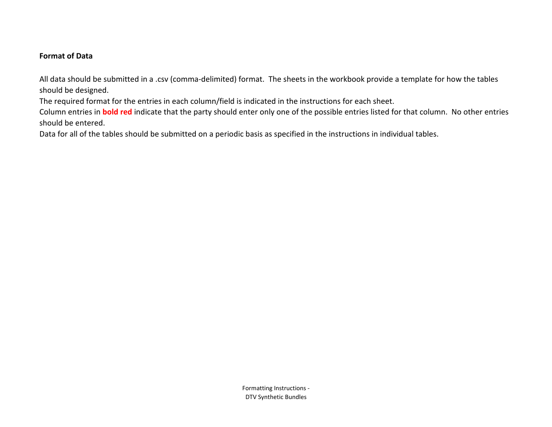## **Format of Data**

All data should be submitted in a .csv (comma-delimited) format. The sheets in the workbook provide a template for how the tables should be designed.

The required format for the entries in each column/field is indicated in the instructions for each sheet.

Column entries in **bold red** indicate that the party should enter only one of the possible entries listed for that column. No other entries should be entered.

Data for all of the tables should be submitted on a periodic basis as specified in the instructions in individual tables.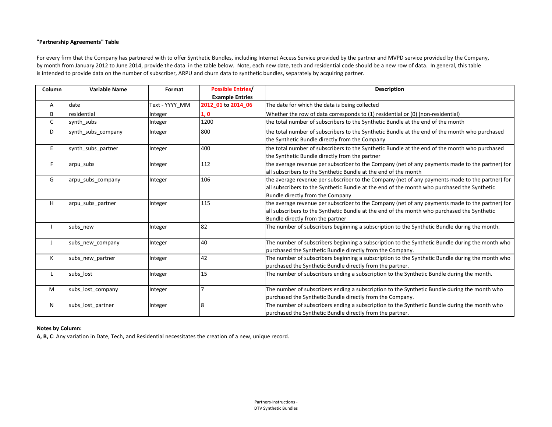## **"Partnership Agreements" Table**

For every firm that the Company has partnered with to offer Synthetic Bundles, including Internet Access Service provided by the partner and MVPD service provided by the Company, by month from January 2012 to June 2014, provide the data in the table below. Note, each new date, tech and residential code should be a new row of data. In general, this table is intended to provide data on the number of subscriber, ARPU and churn data to synthetic bundles, separately by acquiring partner.

| Column | <b>Variable Name</b> | Format         | <b>Possible Entries/</b><br><b>Example Entries</b> | <b>Description</b>                                                                                                                                                                                                                 |  |  |
|--------|----------------------|----------------|----------------------------------------------------|------------------------------------------------------------------------------------------------------------------------------------------------------------------------------------------------------------------------------------|--|--|
| A      | date                 | Text - YYYY_MM | 2012_01 to 2014_06                                 | The date for which the data is being collected                                                                                                                                                                                     |  |  |
| B      | residential          | Integer        | 1, 0                                               | Whether the row of data corresponds to (1) residential or (0) (non-residential)                                                                                                                                                    |  |  |
| C      | synth_subs           | Integer        | 1200                                               | the total number of subscribers to the Synthetic Bundle at the end of the month                                                                                                                                                    |  |  |
| D      | synth subs company   | Integer        | 800                                                | the total number of subscribers to the Synthetic Bundle at the end of the month who purchased<br>the Synthetic Bundle directly from the Company                                                                                    |  |  |
| E.     | synth subs partner   | Integer        | 400                                                | the total number of subscribers to the Synthetic Bundle at the end of the month who purchased<br>the Synthetic Bundle directly from the partner                                                                                    |  |  |
| F.     | arpu_subs            | Integer        | 112                                                | the average revenue per subscriber to the Company (net of any payments made to the partner) for<br>all subscribers to the Synthetic Bundle at the end of the month                                                                 |  |  |
| G      | arpu subs company    | Integer        | 106                                                | the average revenue per subscriber to the Company (net of any payments made to the partner) for<br>all subscribers to the Synthetic Bundle at the end of the month who purchased the Synthetic<br>Bundle directly from the Company |  |  |
| H      | arpu subs partner    | Integer        | 115                                                | the average revenue per subscriber to the Company (net of any payments made to the partner) for<br>all subscribers to the Synthetic Bundle at the end of the month who purchased the Synthetic<br>Bundle directly from the partner |  |  |
|        | subs new             | Integer        | 82                                                 | The number of subscribers beginning a subscription to the Synthetic Bundle during the month.                                                                                                                                       |  |  |
|        | subs new company     | Integer        | 40                                                 | The number of subscribers beginning a subscription to the Synthetic Bundle during the month who<br>purchased the Synthetic Bundle directly from the Company.                                                                       |  |  |
| K      | subs new partner     | Integer        | 42                                                 | The number of subscribers beginning a subscription to the Synthetic Bundle during the month who<br>purchased the Synthetic Bundle directly from the partner.                                                                       |  |  |
| L      | subs_lost            | Integer        | 15                                                 | The number of subscribers ending a subscription to the Synthetic Bundle during the month.                                                                                                                                          |  |  |
| M      | subs lost company    | Integer        |                                                    | The number of subscribers ending a subscription to the Synthetic Bundle during the month who<br>purchased the Synthetic Bundle directly from the Company.                                                                          |  |  |
| N      | subs lost partner    | Integer        | 8                                                  | The number of subscribers ending a subscription to the Synthetic Bundle during the month who<br>purchased the Synthetic Bundle directly from the partner.                                                                          |  |  |

## **Notes by Column:**

**A, B, C**: Any variation in Date, Tech, and Residential necessitates the creation of a new, unique record.